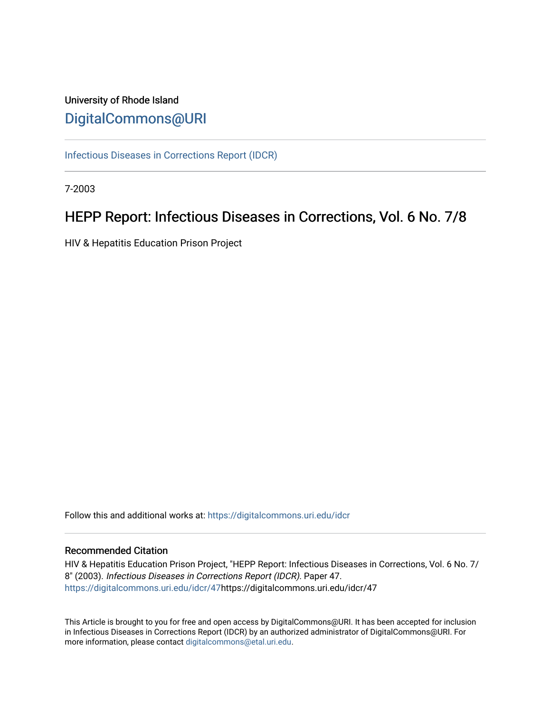# University of Rhode Island [DigitalCommons@URI](https://digitalcommons.uri.edu/)

[Infectious Diseases in Corrections Report \(IDCR\)](https://digitalcommons.uri.edu/idcr)

7-2003

# HEPP Report: Infectious Diseases in Corrections, Vol. 6 No. 7/8

HIV & Hepatitis Education Prison Project

Follow this and additional works at: [https://digitalcommons.uri.edu/idcr](https://digitalcommons.uri.edu/idcr?utm_source=digitalcommons.uri.edu%2Fidcr%2F47&utm_medium=PDF&utm_campaign=PDFCoverPages)

### Recommended Citation

HIV & Hepatitis Education Prison Project, "HEPP Report: Infectious Diseases in Corrections, Vol. 6 No. 7/ 8" (2003). Infectious Diseases in Corrections Report (IDCR). Paper 47. [https://digitalcommons.uri.edu/idcr/47h](https://digitalcommons.uri.edu/idcr/47?utm_source=digitalcommons.uri.edu%2Fidcr%2F47&utm_medium=PDF&utm_campaign=PDFCoverPages)ttps://digitalcommons.uri.edu/idcr/47

This Article is brought to you for free and open access by DigitalCommons@URI. It has been accepted for inclusion in Infectious Diseases in Corrections Report (IDCR) by an authorized administrator of DigitalCommons@URI. For more information, please contact [digitalcommons@etal.uri.edu.](mailto:digitalcommons@etal.uri.edu)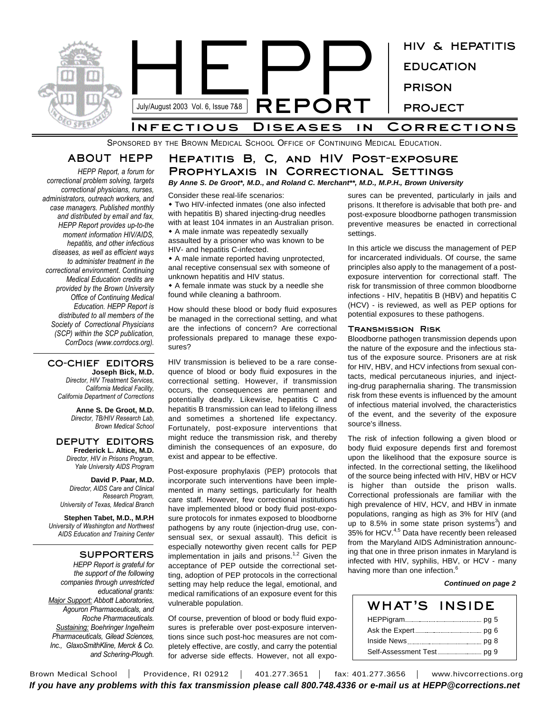

SPONSORED BY THE BROWN MEDICAL SCHOOL OFFICE OF CONTINUING MEDICAL EDUCATION.

# **ABOUT HEPP**

*HEPP Report, a forum for correctional problem solving, targets correctional physicians, nurses, administrators, outreach workers, and case managers. Published monthly and distributed by email and fax, HEPP Report provides up-to-the moment information HIV/AIDS, hepatitis, and other infectious diseases, as well as efficient ways to administer treatment in the correctional environment. Continuing Medical Education credits are provided by the Brown University Office of Continuing Medical Education. HEPP Report is distributed to all members of the Society of Correctional Physicians (SCP) within the SCP publication, CorrDocs (www.corrdocs.org).*

### **CO-CHIEF EDITORS Joseph Bick, M.D.**

*Director, HIV Treatment Services, California Medical Facility, California Department of Corrections*

> **Anne S. De Groot, M.D.** *Director, TB/HIV Research Lab, Brown Medical School*

### **DEPUTY EDITORS Frederick L. Altice, M.D.** *Director, HIV in Prisons Program, Yale University AIDS Program*

**David P. Paar, M.D.** *Director, AIDS Care and Clinical Research Program, University of Texas, Medical Branch*

**Stephen Tabet, M.D., M.P.H** *University of Washington and Northwest AIDS Education and Training Center*

### **SUPPORTERS**

*HEPP Report is grateful for the support of the following companies through unrestricted educational grants: Major Support: Abbott Laboratories, Agouron Pharmaceuticals, and Roche Pharmaceuticals. Sustaining: Boehringer Ingelheim Pharmaceuticals, Gilead Sciences, Inc., GlaxoSmithKline, Merck & Co. and Schering-Plough.*

### *By Anne S. De Groot\*, M.D., and Roland C. Merchant\*\*, M.D., M.P.H., Brown University* **Hepatitis B, C, and HIV Post-exposure Prophylaxis in Correctional Settings**

Consider these real-life scenarios:

• Two HIV-infected inmates (one also infected with hepatitis B) shared injecting-drug needles with at least 104 inmates in an Australian prison. • A male inmate was repeatedly sexually

assaulted by a prisoner who was known to be HIV- and hepatitis C-infected.

• A male inmate reported having unprotected, anal receptive consensual sex with someone of unknown hepatitis and HIV status.

• A female inmate was stuck by a needle she found while cleaning a bathroom.

How should these blood or body fluid exposures be managed in the correctional setting, and what are the infections of concern? Are correctional professionals prepared to manage these exposures?

HIV transmission is believed to be a rare consequence of blood or body fluid exposures in the correctional setting. However, if transmission occurs, the consequences are permanent and potentially deadly. Likewise, hepatitis C and hepatitis B transmission can lead to lifelong illness and sometimes a shortened life expectancy. Fortunately, post-exposure interventions that might reduce the transmission risk, and thereby diminish the consequences of an exposure, do exist and appear to be effective.

Post-exposure prophylaxis (PEP) protocols that incorporate such interventions have been implemented in many settings, particularly for health care staff. However, few correctional institutions have implemented blood or body fluid post-exposure protocols for inmates exposed to bloodborne pathogens by any route (injection-drug use, consensual sex, or sexual assault). This deficit is especially noteworthy given recent calls for PEP implementation in jails and prisons.<sup>1,2</sup> Given the acceptance of PEP outside the correctional setting, adoption of PEP protocols in the correctional setting may help reduce the legal, emotional, and medical ramifications of an exposure event for this vulnerable population.

Of course, prevention of blood or body fluid exposures is preferable over post-exposure interventions since such post-hoc measures are not completely effective, are costly, and carry the potential for adverse side effects. However, not all expo-

sures can be prevented, particularly in jails and prisons. It therefore is advisable that both pre- and post-exposure bloodborne pathogen transmission preventive measures be enacted in correctional settings.

In this article we discuss the management of PEP for incarcerated individuals. Of course, the same principles also apply to the management of a postexposure intervention for correctional staff. The risk for transmission of three common bloodborne infections - HIV, hepatitis B (HBV) and hepatitis C (HCV) - is reviewed, as well as PEP options for potential exposures to these pathogens.

### **Transmission Risk**

Bloodborne pathogen transmission depends upon the nature of the exposure and the infectious status of the exposure source. Prisoners are at risk for HIV, HBV, and HCV infections from sexual contacts, medical percutaneous injuries, and injecting-drug paraphernalia sharing. The transmission risk from these events is influenced by the amount of infectious material involved, the characteristics of the event, and the severity of the exposure source's illness.

The risk of infection following a given blood or body fluid exposure depends first and foremost upon the likelihood that the exposure source is infected. In the correctional setting, the likelihood of the source being infected with HIV, HBV or HCV is higher than outside the prison walls. Correctional professionals are familiar with the high prevalence of HIV, HCV, and HBV in inmate populations, ranging as high as 3% for HIV (and up to 8.5% in some state prison systems<sup>3</sup>) and 35% for HCV.<sup>4,5</sup> Data have recently been released from the Maryland AIDS Administration announcing that one in three prison inmates in Maryland is infected with HIV, syphilis, HBV, or HCV - many having more than one infection.<sup>6</sup>

### *Continued on page 2*

## **WHAT'S INSIDE** HEPPigram pg 5 Ask the Expert pg 6 Inside News pg 8 Self-Assessment Test pg 9

Brown Medical School | Providence, RI 02912 | 401.277.3651 | fax: 401.277.3656 | www.hivcorrections.org *If you have any problems with this fax transmission please call 800.748.4336 or e-mail us at HEPP@corrections.net*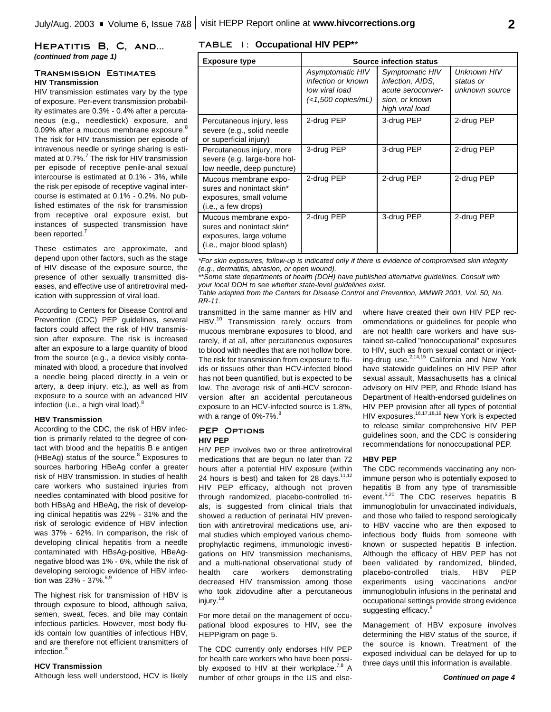### **Hepatitis B, C, and...** *(continued from page 1)*

### **Transmission Estimates HIV Transmission**

HIV transmission estimates vary by the type of exposure. Per-event transmission probability estimates are 0.3% - 0.4% after a percutaneous (e.g., needlestick) exposure, and 0.09% after a mucous membrane exposure.<sup>8</sup> The risk for HIV transmission per episode of intravenous needle or syringe sharing is estimated at 0.7%. 7 The risk for HIV transmission per episode of receptive penile-anal sexual intercourse is estimated at 0.1% - 3%, while the risk per episode of receptive vaginal intercourse is estimated at 0.1% - 0.2%. No published estimates of the risk for transmission from receptive oral exposure exist, but instances of suspected transmission have been reported.<sup>7</sup>

These estimates are approximate, and depend upon other factors, such as the stage of HIV disease of the exposure source, the presence of other sexually transmitted diseases, and effective use of antiretroviral medication with suppression of viral load.

According to Centers for Disease Control and Prevention (CDC) PEP guidelines, several factors could affect the risk of HIV transmission after exposure. The risk is increased after an exposure to a large quantity of blood from the source (e.g., a device visibly contaminated with blood, a procedure that involved a needle being placed directly in a vein or artery, a deep injury, etc.), as well as from exposure to a source with an advanced HIV infection (i.e., a high viral load).<sup>8</sup>

### **HBV Transmission**

According to the CDC, the risk of HBV infection is primarily related to the degree of contact with blood and the hepatitis B e antigen (HBeAg) status of the source. <sup>8</sup> Exposures to sources harboring HBeAg confer a greater risk of HBV transmission. In studies of health care workers who sustained injuries from needles contaminated with blood positive for both HBsAg and HBeAg, the risk of developing clinical hepatitis was 22% - 31% and the risk of serologic evidence of HBV infection was 37% - 62%. In comparison, the risk of developing clinical hepatitis from a needle contaminated with HBsAg-positive, HBeAgnegative blood was 1% - 6%, while the risk of developing serologic evidence of HBV infection was 23% - 37%.<sup>8,9</sup>

The highest risk for transmission of HBV is through exposure to blood, although saliva, semen, sweat, feces, and bile may contain infectious particles. However, most body fluids contain low quantities of infectious HBV, and are therefore not efficient transmitters of infection. 8

### **HCV Transmission**

Although less well understood, HCV is likely

### **TABLE 1: Occupational HIV PEP\***\*

| <b>Exposure type</b>                                                                                        | <b>Source infection status</b>                                                      |                                                                                               |                                            |
|-------------------------------------------------------------------------------------------------------------|-------------------------------------------------------------------------------------|-----------------------------------------------------------------------------------------------|--------------------------------------------|
|                                                                                                             | Asymptomatic HIV<br>infection or known<br>low viral load<br>$\leq$ 1,500 copies/mL) | Symptomatic HIV<br>infection, AIDS,<br>acute seroconver-<br>sion, or known<br>high viral load | Unknown HIV<br>status or<br>unknown source |
| Percutaneous injury, less<br>severe (e.g., solid needle<br>or superficial injury)                           | 2-drug PEP                                                                          | 3-drug PEP                                                                                    | 2-drug PEP                                 |
| Percutaneous injury, more<br>severe (e.g. large-bore hol-<br>low needle, deep puncture)                     | 3-drug PEP                                                                          | 3-drug PEP                                                                                    | 2-drug PEP                                 |
| Mucous membrane expo-<br>sures and nonintact skin*<br>exposures, small volume<br>(i.e., a few drops)        | 2-drug PEP                                                                          | 2-drug PEP                                                                                    | 2-drug PEP                                 |
| Mucous membrane expo-<br>sures and nonintact skin*<br>exposures, large volume<br>(i.e., major blood splash) | 2-drug PEP                                                                          | 3-drug PEP                                                                                    | 2-drug PEP                                 |

*\*For skin exposures, follow-up is indicated only if there is evidence of compromised skin integrity (e.g., dermatitis, abrasion, or open wound).*

*\*\*Some state departments of health (DOH) have published alternative guidelines. Consult with your local DOH to see whether state-level guidelines exist.* 

*Table adapted from the Centers for Disease Control and Prevention, MMWR 2001, Vol. 50, No. RR-11.*

transmitted in the same manner as HIV and HBV.<sup>10</sup> Transmission rarely occurs from mucous membrane exposures to blood, and rarely, if at all, after percutaneous exposures to blood with needles that are not hollow bore. The risk for transmission from exposure to fluids or tissues other than HCV-infected blood has not been quantified, but is expected to be low. The average risk of anti-HCV seroconversion after an accidental percutaneous exposure to an HCV-infected source is 1.8%, with a range of 0%-7%.<sup>8</sup>

### **PEP Options HIV PEP**

HIV PEP involves two or three antiretroviral medications that are begun no later than 72 hours after a potential HIV exposure (within 24 hours is best) and taken for 28 days. $11,12$ HIV PEP efficacy, although not proven through randomized, placebo-controlled trials, is suggested from clinical trials that showed a reduction of perinatal HIV prevention with antiretroviral medications use, animal studies which employed various chemoprophylactic regimens, immunologic investigations on HIV transmission mechanisms, and a multi-national observational study of health care workers demonstrating decreased HIV transmission among those who took zidovudine after a percutaneous injury. 13

For more detail on the management of occupational blood exposures to HIV, see the HEPPigram on page 5.

The CDC currently only endorses HIV PEP for health care workers who have been possibly exposed to HIV at their workplace.<sup>7,8</sup> A number of other groups in the US and elsewhere have created their own HIV PEP recommendations or guidelines for people who are not health care workers and have sustained so-called "nonoccupational" exposures to HIV, such as from sexual contact or injecting-drug use.<sup>2,14,15</sup> California and New York have statewide guidelines on HIV PEP after sexual assault, Massachusetts has a clinical advisory on HIV PEP, and Rhode Island has Department of Health-endorsed guidelines on HIV PEP provision after all types of potential HIV exposures.<sup>16,17,18,19</sup> New York is expected to release similar comprehensive HIV PEP guidelines soon, and the CDC is considering recommendations for nonoccupational PEP.

### **HBV PEP**

The CDC recommends vaccinating any nonimmune person who is potentially exposed to hepatitis B from any type of transmissible event.<sup>5,20</sup> The CDC reserves hepatitis B immunoglobulin for unvaccinated individuals, and those who failed to respond serologically to HBV vaccine who are then exposed to infectious body fluids from someone with known or suspected hepatitis B infection. Although the efficacy of HBV PEP has not been validated by randomized, blinded, placebo-controlled trials, HBV PEP experiments using vaccinations and/or immunoglobulin infusions in the perinatal and occupational settings provide strong evidence suggesting efficacy.<sup>8</sup>

Management of HBV exposure involves determining the HBV status of the source, if the source is known. Treatment of the exposed individual can be delayed for up to three days until this information is available.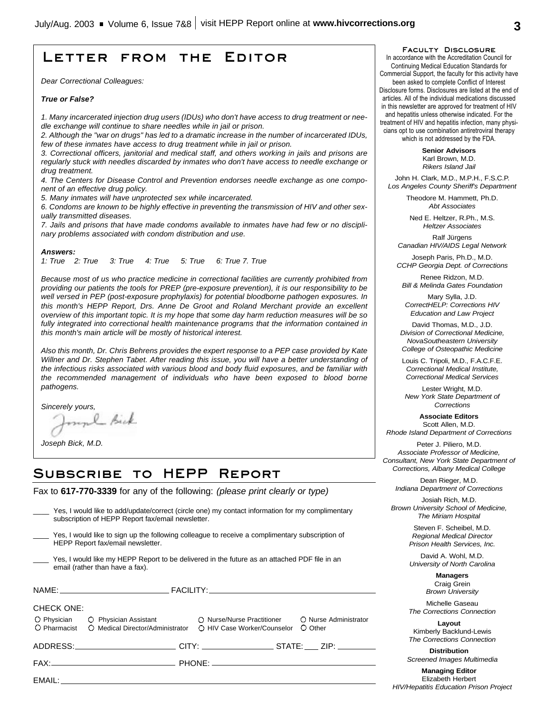# **Letter from the Editor**

*Dear Correctional Colleagues:*

### *True or False?*

*1. Many incarcerated injection drug users (IDUs) who don't have access to drug treatment or needle exchange will continue to share needles while in jail or prison.*

*2. Although the "war on drugs" has led to a dramatic increase in the number of incarcerated IDUs, few of these inmates have access to drug treatment while in jail or prison.*

*3. Correctional officers, janitorial and medical staff, and others working in jails and prisons are regularly stuck with needles discarded by inmates who don't have access to needle exchange or drug treatment.*

*4. The Centers for Disease Control and Prevention endorses needle exchange as one component of an effective drug policy.*

*5. Many inmates will have unprotected sex while incarcerated.*

*6. Condoms are known to be highly effective in preventing the transmission of HIV and other sexually transmitted diseases.*

*7. Jails and prisons that have made condoms available to inmates have had few or no disciplinary problems associated with condom distribution and use.*

#### *Answers:*

*1: True 2: True 3: True 4: True 5: True 6: True 7. True*

*Because most of us who practice medicine in correctional facilities are currently prohibited from providing our patients the tools for PREP (pre-exposure prevention), it is our responsibility to be well versed in PEP (post-exposure prophylaxis) for potential bloodborne pathogen exposures. In this month's HEPP Report, Drs. Anne De Groot and Roland Merchant provide an excellent overview of this important topic. It is my hope that some day harm reduction measures will be so fully integrated into correctional health maintenance programs that the information contained in this month's main article will be mostly of historical interest.*

*Also this month, Dr. Chris Behrens provides the expert response to a PEP case provided by Kate Willner and Dr. Stephen Tabet. After reading this issue, you will have a better understanding of the infectious risks associated with various blood and body fluid exposures, and be familiar with the recommended management of individuals who have been exposed to blood borne pathogens.*

*Sincerely yours,*

munh Bick

*Joseph Bick, M.D.*

# **Subscribe to HEPP Report**

Fax to **617-770-3339** for any of the following: *(please print clearly or type)*

|                                                                                                                                      | Yes, I would like to add/update/correct (circle one) my contact information for my complimentary<br>subscription of HEPP Report fax/email newsletter. |  |                                  |
|--------------------------------------------------------------------------------------------------------------------------------------|-------------------------------------------------------------------------------------------------------------------------------------------------------|--|----------------------------------|
| Yes, I would like to sign up the following colleague to receive a complimentary subscription of<br>HEPP Report fax/email newsletter. |                                                                                                                                                       |  |                                  |
|                                                                                                                                      | Yes, I would like my HEPP Report to be delivered in the future as an attached PDF file in an<br>email (rather than have a fax).                       |  |                                  |
|                                                                                                                                      |                                                                                                                                                       |  |                                  |
| <b>CHECK ONE:</b>                                                                                                                    | O Physician C Physician Assistant C Nurse/Nurse Practitioner<br>O Pharmacist C Medical Director/Administrator C HIV Case Worker/Counselor             |  | O Nurse Administrator<br>O Other |
|                                                                                                                                      | ADDRESS:___________________________CITY: ____________________STATE:____ ZIP: ________                                                                 |  |                                  |
|                                                                                                                                      |                                                                                                                                                       |  |                                  |
|                                                                                                                                      |                                                                                                                                                       |  |                                  |
|                                                                                                                                      |                                                                                                                                                       |  |                                  |

**Faculty Disclosure**

In accordance with the Accreditation Council for Continuing Medical Education Standards for Commercial Support, the faculty for this activity have been asked to complete Conflict of Interest Disclosure forms. Disclosures are listed at the end of articles. All of the individual medications discussed in this newsletter are approved for treatment of HIV and hepatitis unless otherwise indicated. For the treatment of HIV and hepatitis infection, many physicians opt to use combination antiretroviral therapy which is not addressed by the FDA.

> **Senior Advisors** Karl Brown, M.D. *Rikers Island Jail*

John H. Clark, M.D., M.P.H., F.S.C.P. *Los Angeles County Sheriff's Department*

> Theodore M. Hammett, Ph.D. *Abt Associates*

Ned E. Heltzer, R.Ph., M.S. *Heltzer Associates*

Ralf Jürgens *Canadian HIV/AIDS Legal Network*

Joseph Paris, Ph.D., M.D. *CCHP Georgia Dept. of Corrections*

Renee Ridzon, M.D. *Bill & Melinda Gates Foundation*

Mary Sylla, J.D. *CorrectHELP: Corrections HIV Education and Law Project*

David Thomas, M.D., J.D. *Division of Correctional Medicine, NovaSoutheastern University College of Osteopathic Medicine*

Louis C. Tripoli, M.D., F.A.C.F.E. *Correctional Medical Institute, Correctional Medical Services*

Lester Wright, M.D. *New York State Department of Corrections*

**Associate Editors** Scott Allen, M.D. *Rhode Island Department of Corrections*

Peter J. Piliero, M.D. *Associate Professor of Medicine, Consultant, New York State Department of Corrections, Albany Medical College*

Dean Rieger, M.D. *Indiana Department of Corrections*

Josiah Rich, M.D. *Brown University School of Medicine, The Miriam Hospital*

> Steven F. Scheibel, M.D. *Regional Medical Director Prison Health Services, Inc.*

> David A. Wohl, M.D. *University of North Carolina*

> > **Managers** Craig Grein *Brown University*

Michelle Gaseau *The Corrections Connection*

**Layout** Kimberly Backlund-Lewis *The Corrections Connection*

**Distribution** *Screened Images Multimedia*

**Managing Editor** Elizabeth Herbert *HIV/Hepatitis Education Prison Project*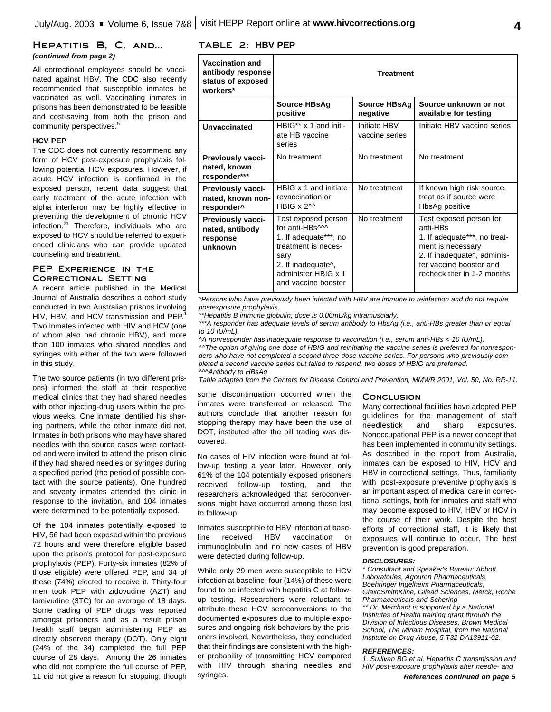### **Hepatitis B, C, and...** *(continued from page 2)*

All correctional employees should be vaccinated against HBV. The CDC also recently recommended that susceptible inmates be vaccinated as well. Vaccinating inmates in prisons has been demonstrated to be feasible and cost-saving from both the prison and community perspectives. 5

### **HCV PEP**

The CDC does not currently recommend any form of HCV post-exposure prophylaxis following potential HCV exposures. However, if acute HCV infection is confirmed in the exposed person, recent data suggest that early treatment of the acute infection with alpha interferon may be highly effective in preventing the development of chronic HCV infection. 21 Therefore, individuals who are exposed to HCV should be referred to experienced clinicians who can provide updated counseling and treatment.

### **PEP Experience in the Correctional Setting**

A recent article published in the Medical Journal of Australia describes a cohort study conducted in two Australian prisons involving HIV, HBV, and HCV transmission and PEP.<sup>1</sup> Two inmates infected with HIV and HCV (one of whom also had chronic HBV), and more than 100 inmates who shared needles and syringes with either of the two were followed in this study.

The two source patients (in two different prisons) informed the staff at their respective medical clinics that they had shared needles with other injecting-drug users within the previous weeks. One inmate identified his sharing partners, while the other inmate did not. Inmates in both prisons who may have shared needles with the source cases were contacted and were invited to attend the prison clinic if they had shared needles or syringes during a specified period (the period of possible contact with the source patients). One hundred and seventy inmates attended the clinic in response to the invitation, and 104 inmates were determined to be potentially exposed.

Of the 104 inmates potentially exposed to HIV, 56 had been exposed within the previous 72 hours and were therefore eligible based upon the prison's protocol for post-exposure prophylaxis (PEP). Forty-six inmates (82% of those eligible) were offered PEP, and 34 of these (74%) elected to receive it. Thirty-four men took PEP with zidovudine (AZT) and lamivudine (3TC) for an average of 18 days. Some trading of PEP drugs was reported amongst prisoners and as a result prison health staff began administering PEP as directly observed therapy (DOT). Only eight (24% of the 34) completed the full PEP course of 28 days. Among the 26 inmates who did not complete the full course of PEP, 11 did not give a reason for stopping, though

### **TABLE 2: HBV PEP**

| <b>Vaccination and</b><br>antibody response<br>status of exposed<br>workers* | <b>Treatment</b>                                                                                                                                                                                  |                                |                                                                                                                                                                                                |
|------------------------------------------------------------------------------|---------------------------------------------------------------------------------------------------------------------------------------------------------------------------------------------------|--------------------------------|------------------------------------------------------------------------------------------------------------------------------------------------------------------------------------------------|
|                                                                              | <b>Source HBsAg</b><br>positive                                                                                                                                                                   | Source HBsAg<br>negative       | Source unknown or not<br>available for testing                                                                                                                                                 |
| Unvaccinated                                                                 | HBIG** x 1 and initi-<br>ate HB vaccine<br>series                                                                                                                                                 | Initiate HBV<br>vaccine series | Initiate HBV vaccine series                                                                                                                                                                    |
| <b>Previously vacci-</b><br>nated, known<br>responder***                     | No treatment                                                                                                                                                                                      | No treatment                   | No treatment                                                                                                                                                                                   |
| <b>Previously vacci-</b><br>nated, known non-<br>responder <sup>^</sup>      | HBIG x 1 and initiate<br>revaccination or<br>HBIG $x$ 2 <sup><math>\land</math></sup>                                                                                                             | No treatment                   | If known high risk source,<br>treat as if source were<br>HbsAg positive                                                                                                                        |
| <b>Previously vacci-</b><br>nated, antibody<br>response<br>unknown           | Test exposed person<br>for anti-HBs^^^<br>1. If adequate***, no<br>treatment is neces-<br>sary<br>2. If inadequate <sup><math>\wedge</math></sup> ,<br>administer HBIG x 1<br>and vaccine booster | No treatment                   | Test exposed person for<br>anti-HBs<br>1. If adequate***, no treat-<br>ment is necessary<br>2. If inadequate <sup>^</sup> , adminis-<br>ter vaccine booster and<br>recheck titer in 1-2 months |

*\*Persons who have previously been infected with HBV are immune to reinfection and do not require postexposure prophylaxis.*

*\*\*Hepatitis B immune globulin; dose is 0.06mL/kg intramusclarly.*

*\*\*\*A responder has adequate levels of serum antibody to HbsAg (i.e., anti-HBs greater than or equal to 10 IU/mL).*

*^A nonresponder has inadequate response to vaccination (i.e., serum anti-HBs < 10 IU/mL). ^^The option of giving one dose of HBIG and reinitiating the vaccine series is preferred for nonresponders who have not completed a second three-dose vaccine series. For persons who previously completed a second vaccine series but failed to respond, two doses of HBIG are preferred. ^^^Antibody to HBsAg*

*Table adapted from the Centers for Disease Control and Prevention, MMWR 2001, Vol. 50, No. RR-11.*

some discontinuation occurred when the inmates were transferred or released. The authors conclude that another reason for stopping therapy may have been the use of DOT, instituted after the pill trading was discovered.

No cases of HIV infection were found at follow-up testing a year later. However, only 61% of the 104 potentially exposed prisoners received follow-up testing, and the researchers acknowledged that seroconversions might have occurred among those lost to follow-up.

Inmates susceptible to HBV infection at baseline received HBV vaccination or immunoglobulin and no new cases of HBV were detected during follow-up.

While only 29 men were susceptible to HCV infection at baseline, four (14%) of these were found to be infected with hepatitis C at followup testing. Researchers were reluctant to attribute these HCV seroconversions to the documented exposures due to multiple exposures and ongoing risk behaviors by the prisoners involved. Nevertheless, they concluded that their findings are consistent with the higher probability of transmitting HCV compared with HIV through sharing needles and syringes.

#### **Conclusion**

Many correctional facilities have adopted PEP guidelines for the management of staff needlestick and sharp exposures. Nonoccupational PEP is a newer concept that has been implemented in community settings. As described in the report from Australia, inmates can be exposed to HIV, HCV and HBV in correctional settings. Thus, familiarity with post-exposure preventive prophylaxis is an important aspect of medical care in correctional settings, both for inmates and staff who may become exposed to HIV, HBV or HCV in the course of their work. Despite the best efforts of correctional staff, it is likely that exposures will continue to occur. The best prevention is good preparation.

### *DISCLOSURES:*

*\* Consultant and Speaker's Bureau: Abbott Laboratories, Agouron Pharmaceuticals, Boehringer Ingelheim Pharmaceuticals, GlaxoSmithKline, Gilead Sciences, Merck, Roche Pharmaceuticals and Schering*

*\*\* Dr. Merchant is supported by a National Institutes of Health training grant through the Division of Infectious Diseases, Brown Medical School, The Miriam Hospital, from the National Institute on Drug Abuse, 5 T32 DA13911-02.*

#### *REFERENCES:*

*1. Sullivan BG et al. Hepatitis C transmission and HIV post-exposure prophylaxis after needle- and*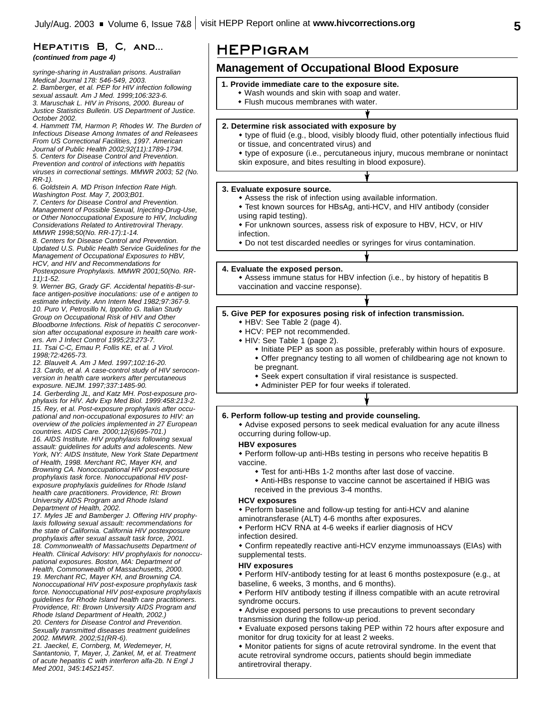# HEPATITIS B, C, AND... | **HEPPIGRAM**<br>(continued from page 4)

*syringe-sharing in Australian prisons. Australian Medical Journal 178: 546-549, 2003.*

*2. Bamberger, et al. PEP for HIV infection following sexual assault. Am J Med. 1999;106:323-6. 3. Maruschak L. HIV in Prisons, 2000. Bureau of Justice Statistics Bulletin. US Department of Justice. October 2002.*

*4. Hammett TM, Harmon P, Rhodes W. The Burden of Infectious Disease Among Inmates of and Releasees From US Correctional Facilities, 1997. American Journal of Public Health 2002;92(11):1789-1794. 5. Centers for Disease Control and Prevention. Prevention and control of infections with hepatitis viruses in correctional settings. MMWR 2003; 52 (No. RR-1).*

*6. Goldstein A. MD Prison Infection Rate High. Washington Post. May 7, 2003;B01.*

*7. Centers for Disease Control and Prevention. Management of Possible Sexual, Injecting-Drug-Use, or Other Nonoccupational Exposure to HIV, Including Considerations Related to Antiretroviral Therapy. MMWR 1998;50(No. RR-17):1-14.*

*8. Centers for Disease Control and Prevention. Updated U.S. Public Health Service Guidelines for the Management of Occupational Exposures to HBV, HCV, and HIV and Recommendations for*

*Postexposure Prophylaxis. MMWR 2001;50(No. RR-11):1-52.*

*9. Werner BG, Grady GF. Accidental hepatitis-B-surface antigen-positive inoculations: use of e antigen to estimate infectivity. Ann Intern Med 1982;97:367-9. 10. Puro V, Petrosillo N, Ippolito G. Italian Study Group on Occupational Risk of HIV and Other Bloodborne Infections. Risk of hepatitis C seroconversion after occupational exposure in health care workers. Am J Infect Control 1995;23:273-7. 11. Tsai C-C, Emau P, Follis KE, et al. J Virol. 1998;72:4265-73.* 

*12. Blauvelt A. Am J Med. 1997;102:16-20. 13. Cardo, et al. A case-control study of HIV seroconversion in health care workers after percutaneous exposure. NEJM. 1997;337:1485-90.*

*14. Gerberding JL, and Katz MH. Post-exposure prophylaxis for HIV. Adv Exp Med Biol. 1999:458:213-2. 15. Rey, et al. Post-exposure prophylaxis after occupational and non-occupational exposures to HIV: an overview of the policies implemented in 27 European countries. AIDS Care. 2000;12(6)695-701.) 16. AIDS Institute. HIV prophylaxis following sexual assault: guidelines for adults and adolescents. New York, NY: AIDS Institute, New York State Department of Health, 1998. Merchant RC, Mayer KH, and Browning CA. Nonoccupational HIV post-exposure prophylaxis task force. Nonoccupational HIV postexposure prophylaxis guidelines for Rhode Island health care practitioners. Providence, RI: Brown University AIDS Program and Rhode Island*

*Department of Health, 2002.*

*17. Myles JE and Bamberger J. Offering HIV prophylaxis following sexual assault: recommendations for the state of California. California HIV postexposure prophylaxis after sexual assault task force, 2001. 18. Commonwealth of Massachusetts Department of Health. Clinical Advisory: HIV prophylaxis for nonoccupational exposures. Boston, MA: Department of Health, Commonwealth of Massachusetts, 2000. 19. Merchant RC, Mayer KH, and Browning CA. Nonoccupational HIV post-exposure prophylaxis task force. Nonoccupational HIV post-exposure prophylaxis guidelines for Rhode Island health care practitioners. Providence, RI: Brown University AIDS Program and Rhode Island Department of Health, 2002.) 20. Centers for Disease Control and Prevention. Sexually transmitted diseases treatment guidelines 2002. MMWR. 2002;51(RR-6).*

*21. Jaeckel, E, Cornberg, M, Wedemeyer, H, Santantonio, T, Mayer, J, Zankel, M, et al. Treatment of acute hepatitis C with interferon alfa-2b. N Engl J Med 2001, 345:14521457.*

### **Management of Occupational Blood Exposure**

- **1. Provide immediate care to the exposure site.**
	- Wash wounds and skin with soap and water.
	- $\bullet$  Flush mucous membranes with water.

### **2. Determine risk associated with exposure by**

- w type of fluid (e.g., blood, visibly bloody fluid, other potentially infectious fluid or tissue, and concentrated virus) and
- \* type of exposure (i.e., percutaneous injury, mucous membrane or nonintact skin exposure, and bites resulting in blood exposure).

### **3. Evaluate exposure source.**

- Assess the risk of infection using available information.
- Test known sources for HBsAg, anti-HCV, and HIV antibody (consider using rapid testing).
- For unknown sources, assess risk of exposure to HBV, HCV, or HIV infection.
- \* Do not test discarded needles or syringes for virus contamination.

### **4. Evaluate the exposed person.**

\* Assess immune status for HBV infection (i.e., by history of hepatitis B vaccination and vaccine response).

### **5. Give PEP for exposures posing risk of infection transmission.**

- HBV: See Table 2 (page 4).
- HCV: PEP not recommended.
- HIV: See Table 1 (page 2).
	- Initiate PEP as soon as possible, preferably within hours of exposure.
	- Offer pregnancy testing to all women of childbearing age not known to be pregnant.
	- \* Seek expert consultation if viral resistance is suspected.
	- Administer PEP for four weeks if tolerated.

### **6. Perform follow-up testing and provide counseling.**

• Advise exposed persons to seek medical evaluation for any acute illness occurring during follow-up.

### **HBV exposures**

\* Perform follow-up anti-HBs testing in persons who receive hepatitis B vaccine.

- Test for anti-HBs 1-2 months after last dose of vaccine.
- Anti-HBs response to vaccine cannot be ascertained if HBIG was received in the previous 3-4 months.

### **HCV exposures**

• Perform baseline and follow-up testing for anti-HCV and alanine

- aminotransferase (ALT) 4-6 months after exposures.
- Perform HCV RNA at 4-6 weeks if earlier diagnosis of HCV infection desired.

• Confirm repeatedly reactive anti-HCV enzyme immunoassays (EIAs) with supplemental tests.

### **HIV exposures**

• Perform HIV-antibody testing for at least 6 months postexposure (e.g., at baseline, 6 weeks, 3 months, and 6 months).

• Perform HIV antibody testing if illness compatible with an acute retroviral syndrome occurs.

- Advise exposed persons to use precautions to prevent secondary transmission during the follow-up period.
- Evaluate exposed persons taking PEP within 72 hours after exposure and monitor for drug toxicity for at least 2 weeks.
- Monitor patients for signs of acute retroviral syndrome. In the event that acute retroviral syndrome occurs, patients should begin immediate antiretroviral therapy.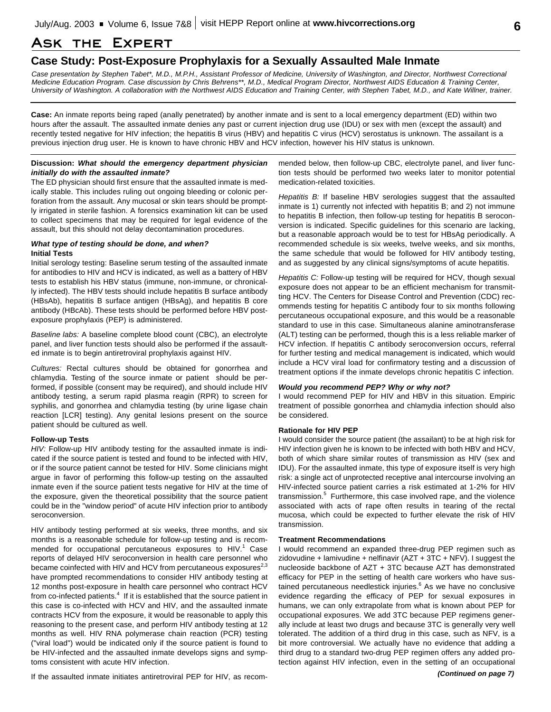# **Ask the Expert**

### **Case Study: Post-Exposure Prophylaxis for a Sexually Assaulted Male Inmate**

*Case presentation by Stephen Tabet\*, M.D., M.P.H., Assistant Professor of Medicine, University of Washington, and Director, Northwest Correctional Medicine Education Program. Case discussion by Chris Behrens\*\*, M.D., Medical Program Director, Northwest AIDS Education & Training Center, University of Washington. A collaboration with the Northwest AIDS Education and Training Center, with Stephen Tabet, M.D., and Kate Willner, trainer.*

**Case:** An inmate reports being raped (anally penetrated) by another inmate and is sent to a local emergency department (ED) within two hours after the assault. The assaulted inmate denies any past or current injection drug use (IDU) or sex with men (except the assault) and recently tested negative for HIV infection; the hepatitis B virus (HBV) and hepatitis C virus (HCV) serostatus is unknown. The assailant is a previous injection drug user. He is known to have chronic HBV and HCV infection, however his HIV status is unknown.

### **Discussion:** *What should the emergency department physician initially do with the assaulted inmate?*

The ED physician should first ensure that the assaulted inmate is medically stable. This includes ruling out ongoing bleeding or colonic perforation from the assault. Any mucosal or skin tears should be promptly irrigated in sterile fashion. A forensics examination kit can be used to collect specimens that may be required for legal evidence of the assault, but this should not delay decontamination procedures.

### *What type of testing should be done, and when?* **Initial Tests**

Initial serology testing: Baseline serum testing of the assaulted inmate for antibodies to HIV and HCV is indicated, as well as a battery of HBV tests to establish his HBV status (immune, non-immune, or chronically infected). The HBV tests should include hepatitis B surface antibody (HBsAb), hepatitis B surface antigen (HBsAg), and hepatitis B core antibody (HBcAb). These tests should be performed before HBV postexposure prophylaxis (PEP) is administered.

*Baseline labs:* A baseline complete blood count (CBC), an electrolyte panel, and liver function tests should also be performed if the assaulted inmate is to begin antiretroviral prophylaxis against HIV.

*Cultures:* Rectal cultures should be obtained for gonorrhea and chlamydia. Testing of the source inmate or patient should be performed, if possible (consent may be required), and should include HIV antibody testing, a serum rapid plasma reagin (RPR) to screen for syphilis, and gonorrhea and chlamydia testing (by urine ligase chain reaction [LCR] testing). Any genital lesions present on the source patient should be cultured as well.

### **Follow-up Tests**

*HIV:* Follow-up HIV antibody testing for the assaulted inmate is indicated if the source patient is tested and found to be infected with HIV, or if the source patient cannot be tested for HIV. Some clinicians might argue in favor of performing this follow-up testing on the assaulted inmate even if the source patient tests negative for HIV at the time of the exposure, given the theoretical possibility that the source patient could be in the "window period" of acute HIV infection prior to antibody seroconversion.

HIV antibody testing performed at six weeks, three months, and six months is a reasonable schedule for follow-up testing and is recommended for occupational percutaneous exposures to HIV.<sup>1</sup> Case reports of delayed HIV seroconversion in health care personnel who became coinfected with HIV and HCV from percutaneous exposures $^{2,3}$ have prompted recommendations to consider HIV antibody testing at 12 months post-exposure in health care personnel who contract HCV from co-infected patients. $4$  If it is established that the source patient in this case is co-infected with HCV and HIV, and the assaulted inmate contracts HCV from the exposure, it would be reasonable to apply this reasoning to the present case, and perform HIV antibody testing at 12 months as well. HIV RNA polymerase chain reaction (PCR) testing ("viral load") would be indicated only if the source patient is found to be HIV-infected and the assaulted inmate develops signs and symptoms consistent with acute HIV infection.

If the assaulted inmate initiates antiretroviral PEP for HIV, as recom-

mended below, then follow-up CBC, electrolyte panel, and liver function tests should be performed two weeks later to monitor potential medication-related toxicities.

*Hepatitis B:* If baseline HBV serologies suggest that the assaulted inmate is 1) currently not infected with hepatitis B; and 2) not immune to hepatitis B infection, then follow-up testing for hepatitis B seroconversion is indicated. Specific guidelines for this scenario are lacking, but a reasonable approach would be to test for HBsAg periodically. A recommended schedule is six weeks, twelve weeks, and six months, the same schedule that would be followed for HIV antibody testing, and as suggested by any clinical signs/symptoms of acute hepatitis.

*Hepatitis C:* Follow-up testing will be required for HCV, though sexual exposure does not appear to be an efficient mechanism for transmitting HCV. The Centers for Disease Control and Prevention (CDC) recommends testing for hepatitis C antibody four to six months following percutaneous occupational exposure, and this would be a reasonable standard to use in this case. Simultaneous alanine aminotransferase (ALT) testing can be performed, though this is a less reliable marker of HCV infection. If hepatitis C antibody seroconversion occurs, referral for further testing and medical management is indicated, which would include a HCV viral load for confirmatory testing and a discussion of treatment options if the inmate develops chronic hepatitis C infection.

### *Would you recommend PEP? Why or why not?*

I would recommend PEP for HIV and HBV in this situation. Empiric treatment of possible gonorrhea and chlamydia infection should also be considered.

### **Rationale for HIV PEP**

I would consider the source patient (the assailant) to be at high risk for HIV infection given he is known to be infected with both HBV and HCV, both of which share similar routes of transmission as HIV (sex and IDU). For the assaulted inmate, this type of exposure itself is very high risk: a single act of unprotected receptive anal intercourse involving an HIV-infected source patient carries a risk estimated at 1-2% for HIV transmission.<sup>5</sup> Furthermore, this case involved rape, and the violence associated with acts of rape often results in tearing of the rectal mucosa, which could be expected to further elevate the risk of HIV transmission.

### **Treatment Recommendations**

I would recommend an expanded three-drug PEP regimen such as zidovudine + lamivudine + nelfinavir (AZT + 3TC + NFV). I suggest the nucleoside backbone of AZT + 3TC because AZT has demonstrated efficacy for PEP in the setting of health care workers who have sustained percutaneous needlestick injuries.<sup>6</sup> As we have no conclusive evidence regarding the efficacy of PEP for sexual exposures in humans, we can only extrapolate from what is known about PEP for occupational exposures. We add 3TC because PEP regimens generally include at least two drugs and because 3TC is generally very well tolerated. The addition of a third drug in this case, such as NFV, is a bit more controversial. We actually have no evidence that adding a third drug to a standard two-drug PEP regimen offers any added protection against HIV infection, even in the setting of an occupational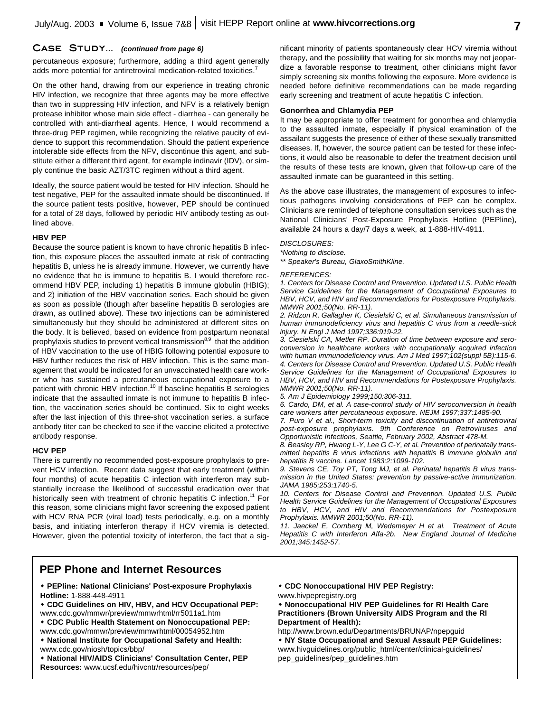### **Case Study...** *(continued from page 6)*

percutaneous exposure; furthermore, adding a third agent generally adds more potential for antiretroviral medication-related toxicities.<sup>7</sup>

On the other hand, drawing from our experience in treating chronic HIV infection, we recognize that three agents may be more effective than two in suppressing HIV infection, and NFV is a relatively benign protease inhibitor whose main side effect - diarrhea - can generally be controlled with anti-diarrheal agents. Hence, I would recommend a three-drug PEP regimen, while recognizing the relative paucity of evidence to support this recommendation. Should the patient experience intolerable side effects from the NFV, discontinue this agent, and substitute either a different third agent, for example indinavir (IDV), or simply continue the basic AZT/3TC regimen without a third agent.

Ideally, the source patient would be tested for HIV infection. Should he test negative, PEP for the assaulted inmate should be discontinued. If the source patient tests positive, however, PEP should be continued for a total of 28 days, followed by periodic HIV antibody testing as outlined above.

### **HBV PEP**

Because the source patient is known to have chronic hepatitis B infection, this exposure places the assaulted inmate at risk of contracting hepatitis B, unless he is already immune. However, we currently have no evidence that he is immune to hepatitis B. I would therefore recommend HBV PEP, including 1) hepatitis B immune globulin (HBIG); and 2) initiation of the HBV vaccination series. Each should be given as soon as possible (though after baseline hepatitis B serologies are drawn, as outlined above). These two injections can be administered simultaneously but they should be administered at different sites on the body. It is believed, based on evidence from postpartum neonatal prophylaxis studies to prevent vertical transmission<sup>8,9</sup> that the addition of HBV vaccination to the use of HBIG following potential exposure to HBV further reduces the risk of HBV infection. This is the same management that would be indicated for an unvaccinated health care worker who has sustained a percutaneous occupational exposure to a patient with chronic HBV infection.<sup>10</sup> If baseline hepatitis B serologies indicate that the assaulted inmate is not immune to hepatitis B infection, the vaccination series should be continued. Six to eight weeks after the last injection of this three-shot vaccination series, a surface antibody titer can be checked to see if the vaccine elicited a protective antibody response.

### **HCV PEP**

There is currently no recommended post-exposure prophylaxis to prevent HCV infection. Recent data suggest that early treatment (within four months) of acute hepatitis C infection with interferon may substantially increase the likelihood of successful eradication over that historically seen with treatment of chronic hepatitis C infection.<sup>11</sup> For this reason, some clinicians might favor screening the exposed patient with HCV RNA PCR (viral load) tests periodically, e.g. on a monthly basis, and initiating interferon therapy if HCV viremia is detected. However, given the potential toxicity of interferon, the fact that a significant minority of patients spontaneously clear HCV viremia without therapy, and the possibility that waiting for six months may not jeopardize a favorable response to treatment, other clinicians might favor simply screening six months following the exposure. More evidence is needed before definitive recommendations can be made regarding early screening and treatment of acute hepatitis C infection.

### **Gonorrhea and Chlamydia PEP**

It may be appropriate to offer treatment for gonorrhea and chlamydia to the assaulted inmate, especially if physical examination of the assailant suggests the presence of either of these sexually transmitted diseases. If, however, the source patient can be tested for these infections, it would also be reasonable to defer the treatment decision until the results of these tests are known, given that follow-up care of the assaulted inmate can be guaranteed in this setting.

As the above case illustrates, the management of exposures to infectious pathogens involving considerations of PEP can be complex. Clinicians are reminded of telephone consultation services such as the National Clinicians' Post-Exposure Prophylaxis Hotline (PEPline), available 24 hours a day/7 days a week, at 1-888-HIV-4911.

#### *DISCLOSURES:*

*\*Nothing to disclose.*

*\*\* Speaker's Bureau, GlaxoSmithKline.*

#### *REFERENCES:*

*1. Centers for Disease Control and Prevention. Updated U.S. Public Health Service Guidelines for the Management of Occupational Exposures to HBV, HCV, and HIV and Recommendations for Postexposure Prophylaxis. MMWR 2001;50(No. RR-11).*

*2. Ridzon R, Gallagher K, Ciesielski C, et al. Simultaneous transmission of human immunodeficiency virus and hepatitis C virus from a needle-stick injury. N Engl J Med 1997;336:919-22.*

*3. Ciesielski CA, Metler RP. Duration of time between exposure and seroconversion in healthcare workers with occupationally acquired infection with human immunodeficiency virus. Am J Med 1997;102(suppl 5B):115-6. 4. Centers for Disease Control and Prevention. Updated U.S. Public Health Service Guidelines for the Management of Occupational Exposures to HBV, HCV, and HIV and Recommendations for Postexposure Prophylaxis. MMWR 2001;50(No. RR-11).*

*5. Am J Epidemiology 1999;150:306-311.*

*6. Cardo, DM, et al. A case-control study of HIV seroconversion in health care workers after percutaneous exposure. NEJM 1997;337:1485-90.*

*7. Puro V et al., Short-term toxicity and discontinuation of antiretroviral post-exposure prophylaxis. 9th Conference on Retroviruses and Opportunistic Infections, Seattle, February 2002, Abstract 478-M.*

*8. Beasley RP, Hwang L-Y, Lee G C-Y, et al. Prevention of perinatally transmitted hepatitis B virus infections with hepatitis B immune globulin and hepatitis B vaccine. Lancet 1983;2:1099-102.*

*9. Stevens CE, Toy PT, Tong MJ, et al. Perinatal hepatitis B virus transmission in the United States: prevention by passive-active immunization. JAMA 1985;253:1740-5.*

*10. Centers for Disease Control and Prevention. Updated U.S. Public Health Service Guidelines for the Management of Occupational Exposures to HBV, HCV, and HIV and Recommendations for Postexposure Prophylaxis. MMWR 2001;50(No. RR-11).*

*11. Jaeckel E, Cornberg M, Wedemeyer H et al. Treatment of Acute Hepatitis C with Interferon Alfa-2b. New England Journal of Medicine 2001;345:1452-57.*

### **PEP Phone and Internet Resources**

\* **PEPline: National Clinicians' Post-exposure Prophylaxis Hotline:** 1-888-448-4911

w **CDC Guidelines on HIV, HBV, and HCV Occupational PEP:** www.cdc.gov/mmwr/preview/mmwrhtml/rr5011a1.htm

- **+ CDC Public Health Statement on Nonoccupational PEP:** www.cdc.gov/mmwr/preview/mmwrhtml/00054952.htm
- $\bullet$  National Institute for Occupational Safety and Health: www.cdc.gov/niosh/topics/bbp/
- $*$  National HIV/AIDS Clinicians' Consultation Center, PEP **Resources:** www.ucsf.edu/hivcntr/resources/pep/
- **\* CDC Nonoccupational HIV PEP Registry:**

www.hivpepregistry.org

w **Nonoccupational HIV PEP Guidelines for RI Health Care Practitioners (Brown University AIDS Program and the RI Department of Health):**

http://www.brown.edu/Departments/BRUNAP/npepguid

\* NY State Occupational and Sexual Assault PEP Guidelines: www.hivguidelines.org/public\_html/center/clinical-guidelines/ pep\_guidelines/pep\_guidelines.htm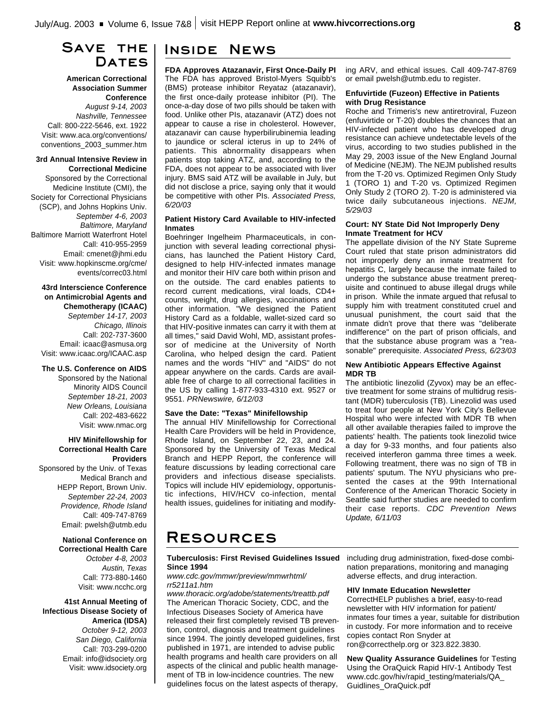# **Save the** DATES

**American Correctional Association Summer Conference** *August 9-14, 2003 Nashville, Tennessee* Call: 800-222-5646, ext. 1922 Visit: www.aca.org/conventions/ conventions\_2003\_summer.htm

### **3rd Annual Intensive Review in Correctional Medicine**

Sponsored by the Correctional Medicine Institute (CMI), the Society for Correctional Physicians (SCP), and Johns Hopkins Univ. *September 4-6, 2003 Baltimore, Maryland* Baltimore Marriott Waterfront Hotel Call: 410-955-2959 Email: cmenet@jhmi.edu Visit: www.hopkinscme.org/cme/ events/correc03.html

### **43rd Interscience Conference on Antimicrobial Agents and Chemotherapy (ICAAC)** *September 14-17, 2003 Chicago, Illinois* Call: 202-737-3600 Email: icaac@asmusa.org Visit: www.icaac.org/ICAAC.asp

### **The U.S. Conference on AIDS**

Sponsored by the National Minority AIDS Council *September 18-21, 2003 New Orleans, Louisiana* Call: 202-483-6622 Visit: www.nmac.org

### **HIV Minifellowship for Correctional Health Care Providers**

Sponsored by the Univ. of Texas Medical Branch and HEPP Report, Brown Univ. *September 22-24, 2003 Providence, Rhode Island* Call: 409-747-8769 Email: pwelsh@utmb.edu

> **National Conference on Correctional Health Care** *October 4-8, 2003 Austin, Texas* Call: 773-880-1460 Visit: www.ncchc.org

**41st Annual Meeting of Infectious Disease Society of America (IDSA)** *October 9-12, 2003 San Diego, California* Call: 703-299-0200 Email: info@idsociety.org Visit: www.idsociety.org

# **Inside News**

**FDA Approves Atazanavir, First Once-Daily PI** The FDA has approved Bristol-Myers Squibb's (BMS) protease inhibitor Reyataz (atazanavir), the first once-daily protease inhibitor (PI). The once-a-day dose of two pills should be taken with food. Unlike other PIs, atazanavir (ATZ) does not appear to cause a rise in cholesterol. However, atazanavir can cause hyperbilirubinemia leading to jaundice or scleral icterus in up to 24% of patients. This abnormality disappears when patients stop taking ATZ, and, according to the FDA, does not appear to be associated with liver injury. BMS said ATZ will be available in July, but did not disclose a price, saying only that it would be competitive with other PIs. *Associated Press, 6/20/03*

### **Patient History Card Available to HIV-infected Inmates**

Boehringer Ingelheim Pharmaceuticals, in conjunction with several leading correctional physicians, has launched the Patient History Card, designed to help HIV-infected inmates manage and monitor their HIV care both within prison and on the outside. The card enables patients to record current medications, viral loads, CD4+ counts, weight, drug allergies, vaccinations and other information. "We designed the Patient History Card as a foldable, wallet-sized card so that HIV-positive inmates can carry it with them at all times," said David Wohl, MD, assistant professor of medicine at the University of North Carolina, who helped design the card. Patient names and the words "HIV" and "AIDS" do not appear anywhere on the cards. Cards are available free of charge to all correctional facilities in the US by calling 1-877-933-4310 ext. 9527 or 9551. *PRNewswire, 6/12/03*

### **Save the Date: "Texas" Minifellowship**

The annual HIV Minifellowship for Correctional Health Care Providers will be held in Providence, Rhode Island, on September 22, 23, and 24. Sponsored by the University of Texas Medical Branch and HEPP Report, the conference will feature discussions by leading correctional care providers and infectious disease specialists. Topics will include HIV epidemiology, opportunistic infections, HIV/HCV co-infection, mental health issues, guidelines for initiating and modify-

### ing ARV, and ethical issues. Call 409-747-8769 or email pwelsh@utmb.edu to register.

### **Enfuvirtide (Fuzeon) Effective in Patients with Drug Resistance**

Roche and Trimeris's new antiretroviral, Fuzeon (enfuvirtide or T-20) doubles the chances that an HIV-infected patient who has developed drug resistance can achieve undetectable levels of the virus, according to two studies published in the May 29, 2003 issue of the New England Journal of Medicine (NEJM). The NEJM published results from the T-20 vs. Optimized Regimen Only Study 1 (TORO 1) and T-20 vs. Optimized Regimen Only Study 2 (TORO 2). T-20 is administered via twice daily subcutaneous injections. *NEJM, 5/29/03*

### **Court: NY State Did Not Improperly Deny Inmate Treatment for HCV**

The appellate division of the NY State Supreme Court ruled that state prison administrators did not improperly deny an inmate treatment for hepatitis C, largely because the inmate failed to undergo the substance abuse treatment prerequisite and continued to abuse illegal drugs while in prison. While the inmate argued that refusal to supply him with treatment constituted cruel and unusual punishment, the court said that the inmate didn't prove that there was "deliberate indifference" on the part of prison officials, and that the substance abuse program was a "reasonable" prerequisite. *Associated Press, 6/23/03*

### **New Antibiotic Appears Effective Against MDR TB**

The antibiotic linezolid (Zyvox) may be an effective treatment for some strains of multidrug resistant (MDR) tuberculosis (TB). Linezolid was used to treat four people at New York City's Bellevue Hospital who were infected with MDR TB when all other available therapies failed to improve the patients' health. The patients took linezolid twice a day for 9-33 months, and four patients also received interferon gamma three times a week. Following treatment, there was no sign of TB in patients' sputum. The NYU physicians who presented the cases at the 99th International Conference of the American Thoracic Society in Seattle said further studies are needed to confirm their case reports. *CDC Prevention News Update, 6/11/03*

# **Resources**

### **Tuberculosis: First Revised Guidelines Issued Since 1994**

*www.cdc.gov/mmwr/preview/mmwrhtml/ rr5211a1.htm*

*www.thoracic.org/adobe/statements/treattb.pdf* The American Thoracic Society, CDC, and the Infectious Diseases Society of America have released their first completely revised TB prevention, control, diagnosis and treatment guidelines since 1994. The jointly developed guidelines, first published in 1971, are intended to advise public health programs and health care providers on all aspects of the clinical and public health management of TB in low-incidence countries. The new guidelines focus on the latest aspects of therapy,

including drug administration, fixed-dose combination preparations, monitoring and managing adverse effects, and drug interaction.

### **HIV Inmate Education Newsletter**

CorrectHELP publishes a brief, easy-to-read newsletter with HIV information for patient/ inmates four times a year, suitable for distribution in custody. For more information and to receive copies contact Ron Snyder at ron@correcthelp.org or 323.822.3830.

**New Quality Assurance Guidelines** for Testing Using the OraQuick Rapid HIV-1 Antibody Test www.cdc.gov/hiv/rapid\_testing/materials/QA\_ Guidlines\_OraQuick.pdf